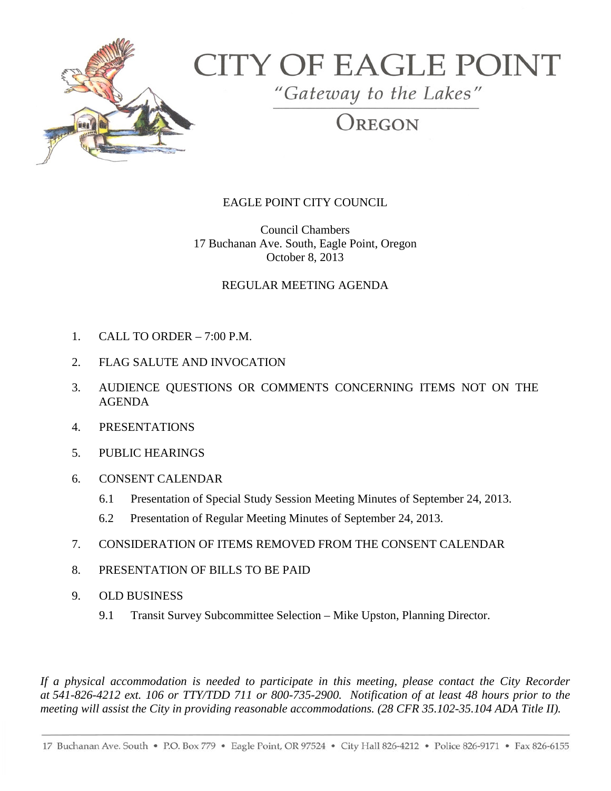

## **CITY OF EAGLE POINT**

"Gateway to the Lakes"

OREGON

## EAGLE POINT CITY COUNCIL

Council Chambers 17 Buchanan Ave. South, Eagle Point, Oregon October 8, 2013

## REGULAR MEETING AGENDA

- 1. CALL TO ORDER 7:00 P.M.
- 2. FLAG SALUTE AND INVOCATION
- 3. AUDIENCE QUESTIONS OR COMMENTS CONCERNING ITEMS NOT ON THE AGENDA
- 4. PRESENTATIONS
- 5. PUBLIC HEARINGS
- 6. CONSENT CALENDAR
	- 6.1 Presentation of Special Study Session Meeting Minutes of September 24, 2013.
	- 6.2 Presentation of Regular Meeting Minutes of September 24, 2013.
- 7. CONSIDERATION OF ITEMS REMOVED FROM THE CONSENT CALENDAR
- 8. PRESENTATION OF BILLS TO BE PAID
- 9. OLD BUSINESS
	- 9.1 Transit Survey Subcommittee Selection Mike Upston, Planning Director.

*If a physical accommodation is needed to participate in this meeting, please contact the City Recorder at 541-826-4212 ext. 106 or TTY/TDD 711 or 800-735-2900. Notification of at least 48 hours prior to the meeting will assist the City in providing reasonable accommodations. (28 CFR 35.102-35.104 ADA Title II).*